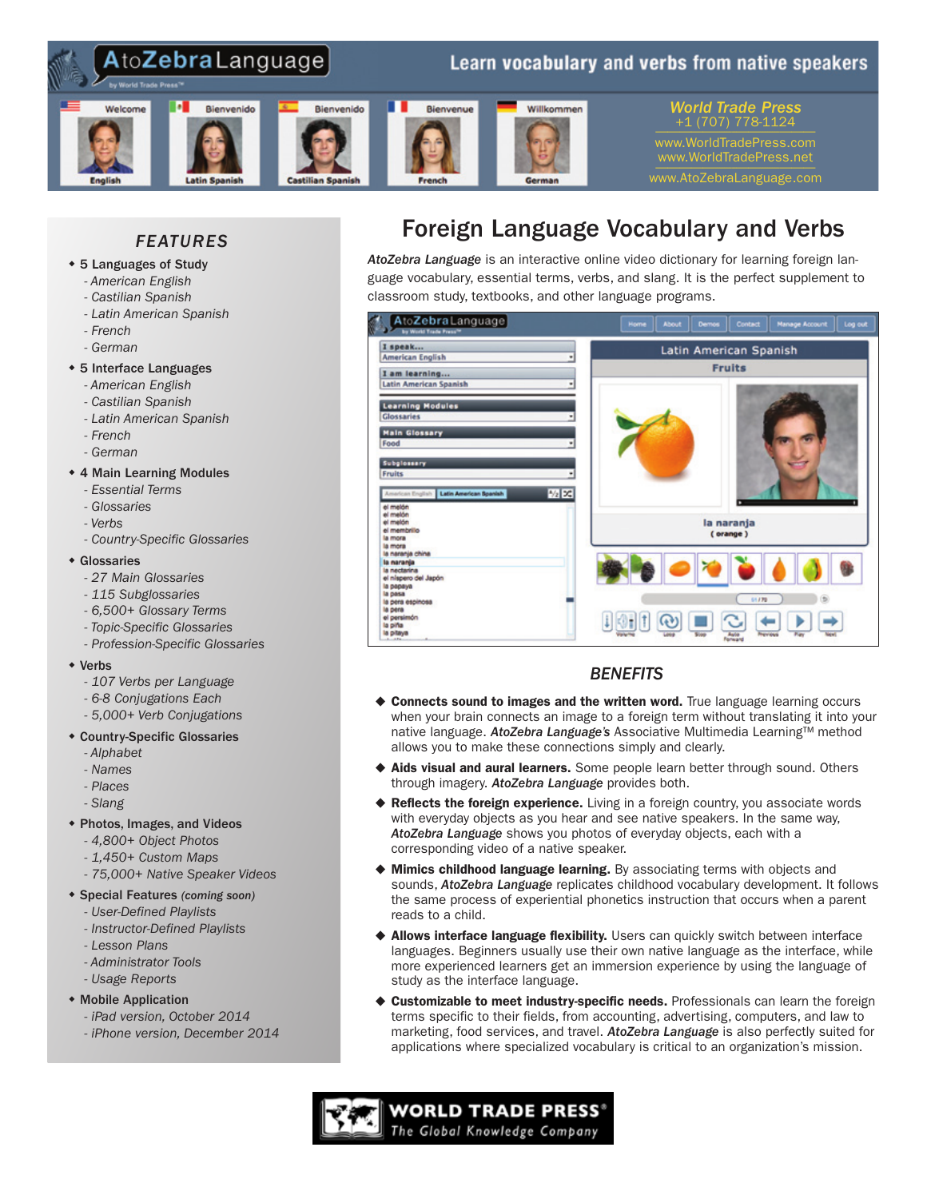

# *FEATURES*

- \* 5 Languages of Study
	- *- American English*
	- *- Castilian Spanish*
	- *- Latin American Spanish*
	- *- French*
	- *- German*

# • 5 Interface Languages

- *- American English*
- *- Castilian Spanish*
- *- Latin American Spanish*
- *- French*
- *- German*

# • 4 Main Learning Modules

- *- Essential Terms*
- *- Glossaries*
- *- Verbs*
- *- Country-Specific Glossaries*

#### $\triangleleft$  Glossaries

- *- 27 Main Glossaries*
- *- 115 Subglossaries*
- *- 6,500+ Glossary Terms*
- *- Topic-Specific Glossaries*
- *- Profession-Specific Glossaries*

#### $\bullet$  Verbs

- *- 107 Verbs per Language*
- *- 6-8 Conjugations Each*
- *- 5,000+ Verb Conjugations*

#### • Country-Specific Glossaries

- *- Alphabet*
- *- Names*
- *- Places*
- *- Slang*
- w Photos, Images, and Videos
	- *- 4,800+ Object Photos*
	- *- 1,450+ Custom Maps*
	- *- 75,000+ Native Speaker Videos*

#### w Special Features *(coming soon)*

- *- User-Defined Playlists*
- *- Instructor-Defined Playlists*
- *- Lesson Plans*
- *- Administrator Tools*
- *- Usage Reports*
- Mobile Application
	- *- iPad version, October 2014*
	- *- iPhone version, December 2014*

# Foreign Language Vocabulary and Verbs

*AtoZebra Language* is an interactive online video dictionary for learning foreign language vocabulary, essential terms, verbs, and slang. It is the perfect supplement to classroom study, textbooks, and other language programs.



# *BENEFITS*

- ♦ Connects sound to images and the written word. True language learning occurs when your brain connects an image to a foreign term without translating it into your native language. *AtoZebra Language's* Associative Multimedia Learning™ method allows you to make these connections simply and clearly.
- $\triangle$  Aids visual and aural learners. Some people learn better through sound. Others through imagery. *AtoZebra Language* provides both.
- $\blacklozenge$  Reflects the foreign experience. Living in a foreign country, you associate words with everyday objects as you hear and see native speakers. In the same way, *AtoZebra Language* shows you photos of everyday objects, each with a corresponding video of a native speaker.
- $\blacklozenge$  Mimics childhood language learning. By associating terms with objects and sounds, *AtoZebra Language* replicates childhood vocabulary development. It follows the same process of experiential phonetics instruction that occurs when a parent reads to a child.
- $\triangle$  Allows interface language flexibility. Users can quickly switch between interface languages. Beginners usually use their own native language as the interface, while more experienced learners get an immersion experience by using the language of study as the interface language.
- ♦ Customizable to meet industry-specific needs. Professionals can learn the foreign terms specific to their fields, from accounting, advertising, computers, and law to marketing, food services, and travel. *AtoZebra Language* is also perfectly suited for applications where specialized vocabulary is critical to an organization's mission.

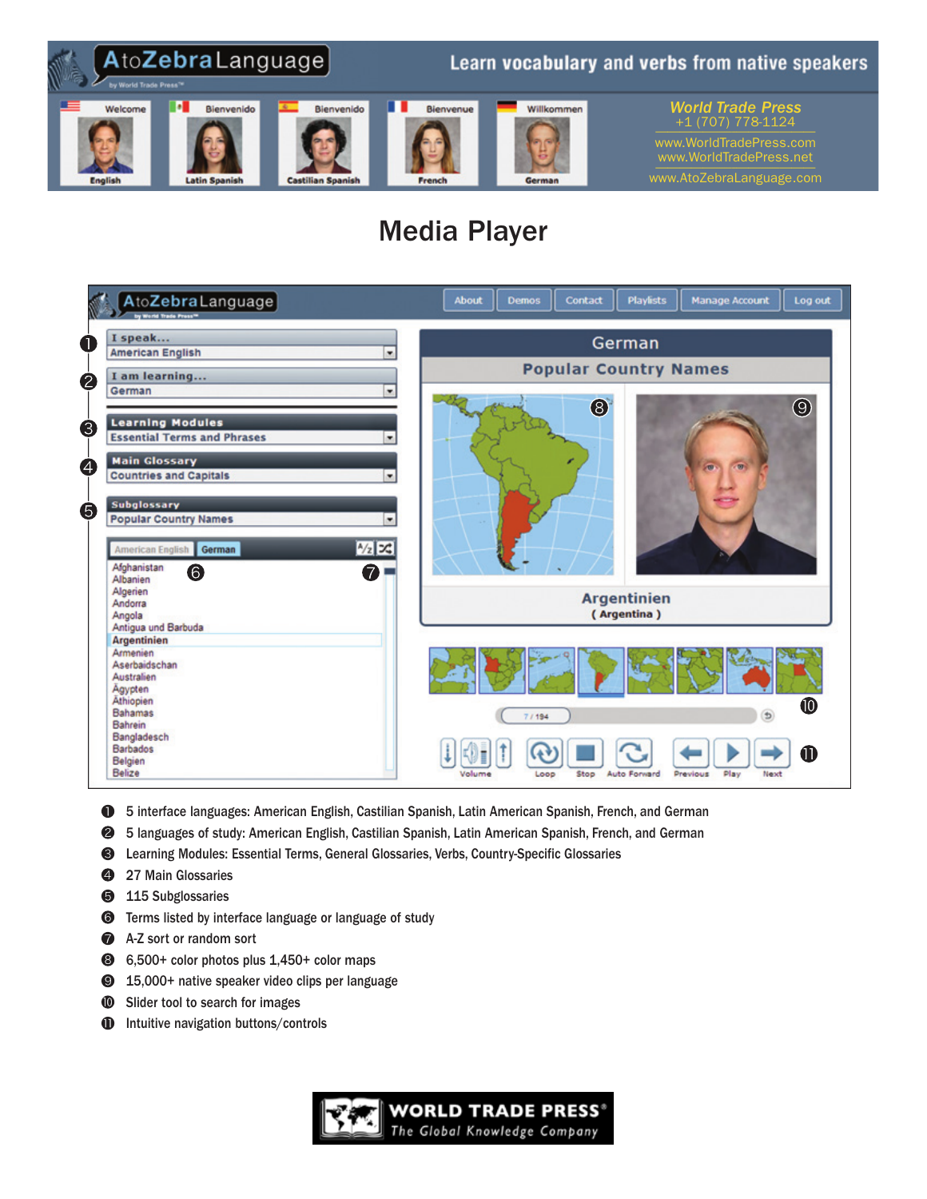

# Media Player



- 5 interface languages: American English, Castilian Spanish, Latin American Spanish, French, and German
- ❷ 5 languages of study: American English, Castilian Spanish, Latin American Spanish, French, and German
- ❸ Learning Modules: Essential Terms, General Glossaries, Verbs, Country-Specific Glossaries
- 4 27 Main Glossaries
- ❺ 115 Subglossaries
- $\odot$  Terms listed by interface language or language of study
- A-Z sort or random sort
- 6,500+ color photos plus 1,450+ color maps
- <sup>9</sup> 15,000+ native speaker video clips per language
- **<sup>10</sup>** Slider tool to search for images
- Intuitive navigation buttons/controls $\bf 0$

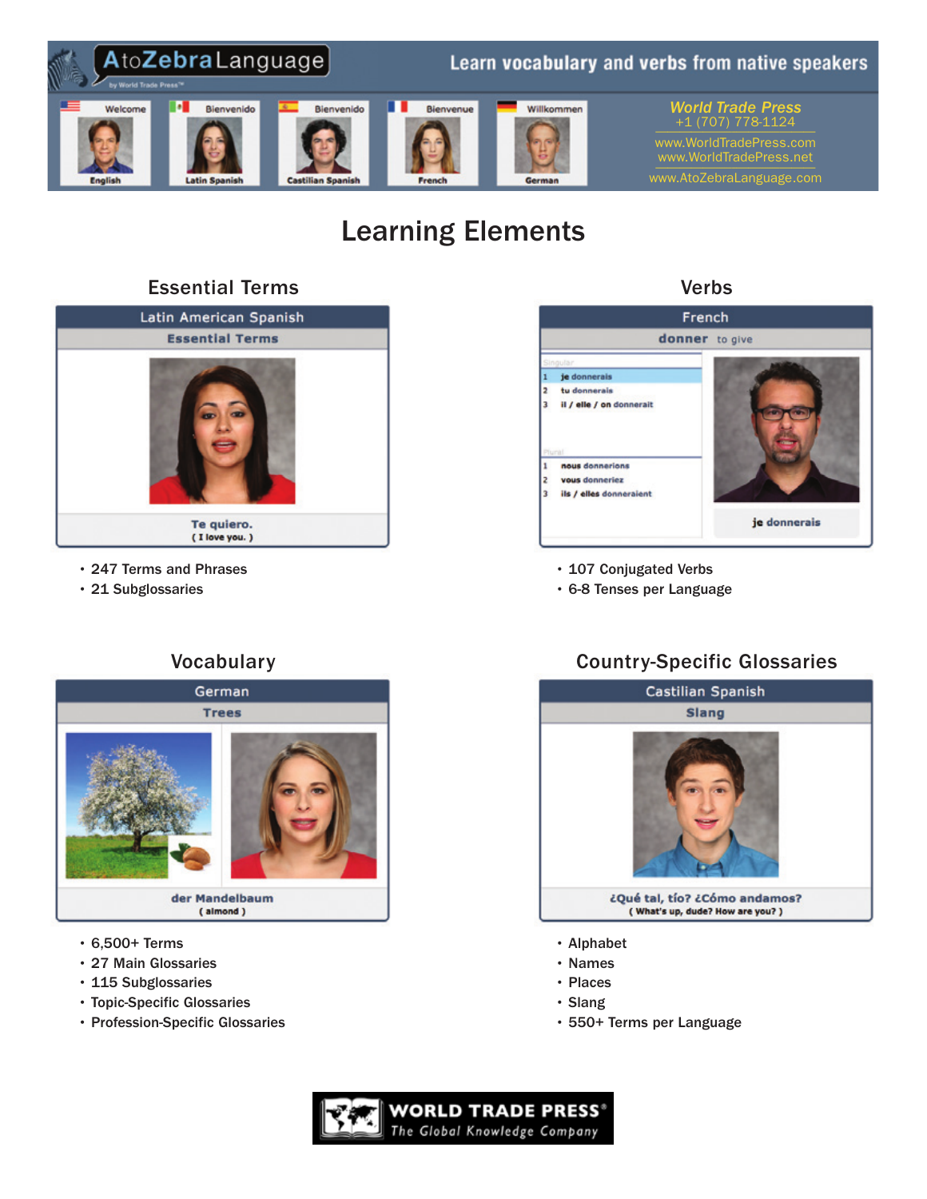

# Learning Elements

# Essential Terms



- 247 Terms and Phrases
- 21 Subglossaries

# French donner to give je donnerais tu donnerais il / elle / on donnerait 3 nous donnerions vous donneriez ils / elles donneraient je donnerais

Verbs

- 107 Conjugated Verbs
- 6-8 Tenses per Language

# **Vocabulary**



- 6,500+ Terms
- 27 Main Glossaries
- 115 Subglossaries
- Topic-Specific Glossaries
- Profession-Specific Glossaries

# Country-Specific Glossaries



- Names
- Places
- Slang
- 550+ Terms per Language

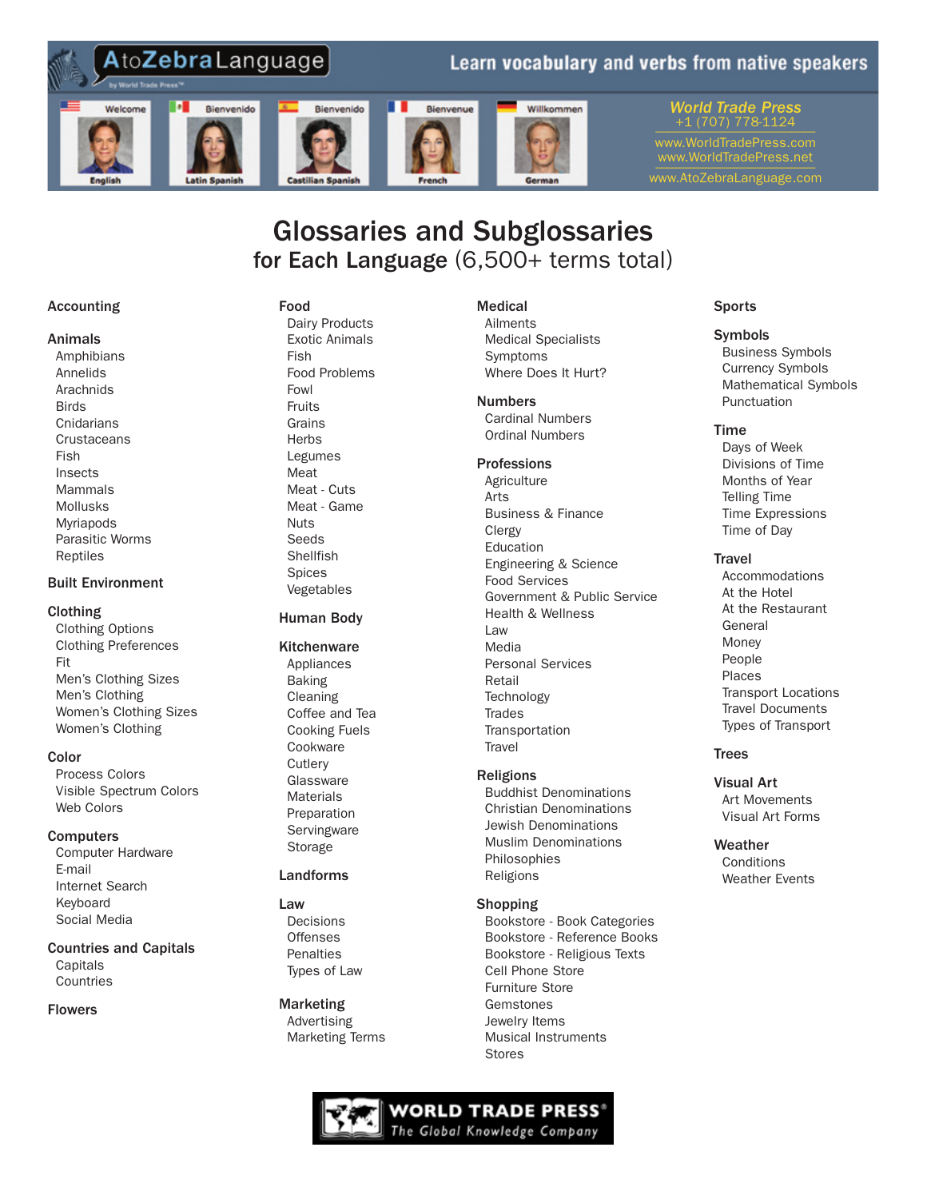

# Glossaries and Subglossaries for Each Language (6,500+ terms total)

# Accounting

#### Animals

 Amphibians Annelids Arachnids **Birds Cnidarians Crustaceans**  Fish Insects Mammals Mollusks Myriapods Parasitic Worms Reptiles

# Built Environment

# Clothing

 Clothing Options Clothing Preferences Fit Men's Clothing Sizes Men's Clothing Women's Clothing Sizes Women's Clothing

# **Color**

 Process Colors Visible Spectrum Colors Web Colors

# **Computers**

 Computer Hardware E-mail Internet Search Keyboard Social Media

# Countries and Capitals

 Capitals Countries

# Flowers

## Food

 Dairy Products Exotic Animals Fish Food Problems Fowl Fruits Grains **Herbs**  Legumes Meat Meat - Cuts Meat - Game Nuts Seeds Shellfish Spices Vegetables

# Human Body

# **Kitchenware**

 Appliances Baking Cleaning Coffee and Tea Cooking Fuels Cookware **Cutlery Glassware Materials**  Preparation **Servingware** Storage

# Landforms

#### Law Decisions **Offenses Penalties** Types of Law

Marketing Advertising Marketing Terms

# Medical

 Ailments Medical Specialists Symptoms Where Does It Hurt?

# Numbers

 Cardinal Numbers Ordinal Numbers

# Professions

**Agriculture**  Arts Business & Finance Clergy Education Engineering & Science Food Services Government & Public Service Health & Wellness Law Media Personal Services Retail **Technology Trades Transportation Travel** 

# Religions

 Buddhist Denominations Christian Denominations Jewish Denominations Muslim Denominations Philosophies Religions

# Shopping

 Bookstore - Book Categories Bookstore - Reference Books Bookstore - Religious Texts Cell Phone Store Furniture Store Gemstones Jewelry Items Musical Instruments Stores



# **Sports**

# Symbols

 Business Symbols Currency Symbols Mathematical Symbols Punctuation

# Time

 Days of Week Divisions of Time Months of Year Telling Time Time Expressions Time of Day

#### **Travel**

 Accommodations At the Hotel At the Restaurant General Money People Places Transport Locations Travel Documents Types of Transport

# Trees

Visual Art Art Movements Visual Art Forms

Weather **Conditions** Weather Events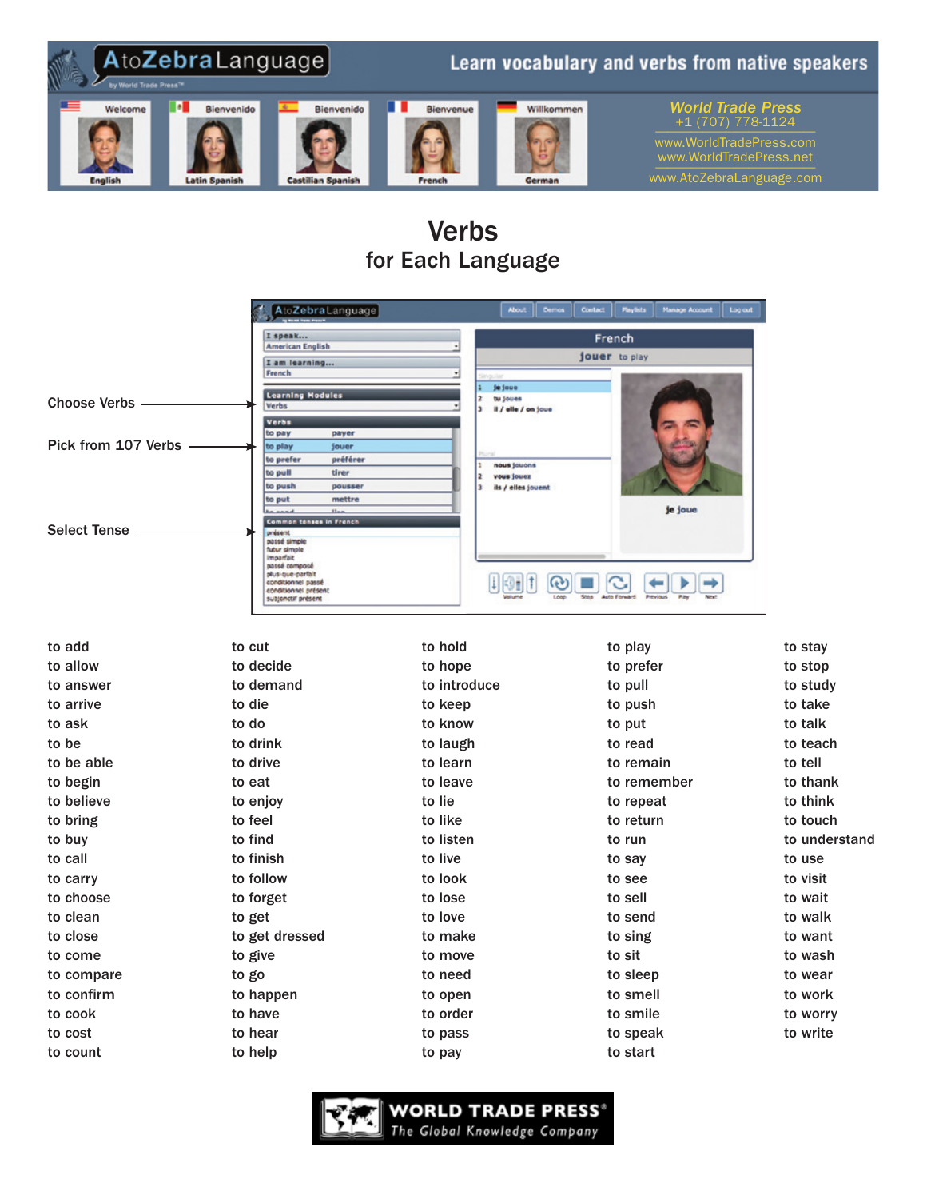

# Verbs for Each Language

|                     | AtoZebraLanguage                           | <b>About</b>                          | <b>Playfists</b><br><b>Hanage Account</b><br>Log out<br>Demos<br>Contact |               |
|---------------------|--------------------------------------------|---------------------------------------|--------------------------------------------------------------------------|---------------|
|                     | I speak                                    |                                       | French                                                                   |               |
|                     | <b>American English</b>                    |                                       | jouer to play                                                            |               |
|                     | I am learning<br>French                    |                                       |                                                                          |               |
|                     | <b>Learning Modules</b>                    | je joue                               |                                                                          |               |
| <b>Choose Verbs</b> | <b>Verbs</b>                               | tu joues<br>il / elle / on joue       |                                                                          |               |
|                     | Verbs<br>to pay<br>payer                   |                                       |                                                                          |               |
| Pick from 107 Verbs | to play<br>jouer                           |                                       |                                                                          |               |
|                     | préférer<br>to prefer                      | nous jouons                           |                                                                          |               |
|                     | to pull<br>tirer<br>to push<br>pousser     | vous jouez<br>ils / elles jouent<br>з |                                                                          |               |
|                     | to put<br>mettre                           |                                       |                                                                          |               |
|                     | Common tenses in French                    |                                       | je joue                                                                  |               |
| <b>Select Tense</b> | présent<br>passé simple                    |                                       |                                                                          |               |
|                     | futur simple<br><b>Imparfair</b>           |                                       |                                                                          |               |
|                     | passé composé<br>plus-que-parfait          |                                       |                                                                          |               |
|                     | conditionnel passé<br>conditionnel présent | 151                                   | ભ્છ<br>$\ddot{\phantom{0}}$                                              |               |
|                     | subjenctif présent                         |                                       |                                                                          |               |
|                     |                                            |                                       |                                                                          |               |
| to add              | to cut                                     | to hold                               | to play                                                                  | to stay       |
| to allow            | to decide                                  | to hope                               | to prefer                                                                | to stop       |
| to answer           | to demand                                  | to introduce                          | to pull                                                                  | to study      |
| to arrive           | to die                                     | to keep                               | to push                                                                  | to take       |
| to ask              | to do                                      | to know                               | to put                                                                   | to talk       |
| to be               | to drink                                   | to laugh                              | to read                                                                  | to teach      |
| to be able          | to drive                                   | to learn                              | to remain                                                                | to tell       |
| to begin            | to eat                                     | to leave                              | to remember                                                              | to thank      |
| to believe          | to enjoy                                   | to lie                                | to repeat                                                                | to think      |
| to bring            | to feel                                    | to like                               | to return                                                                | to touch      |
| to buy              | to find                                    | to listen                             | to run                                                                   | to understand |
| to call             | to finish                                  | to live                               | to say                                                                   | to use        |
| to carry            | to follow                                  | to look                               | to see                                                                   | to visit      |
| to choose           | to forget                                  | to lose                               | to sell                                                                  | to wait       |
| to clean            | to get                                     | to love                               | to send                                                                  | to walk       |
| to close            | to get dressed                             | to make                               | to sing                                                                  | to want       |
| to come             | to give                                    | to move                               | to sit                                                                   | to wash       |
| to compare          | to go                                      | to need                               | to sleep                                                                 | to wear       |
| to confirm          | to happen                                  | to open                               | to smell                                                                 | to work       |
| to cook             | to have                                    | to order                              | to smile                                                                 | to worry      |
| to cost             | to hear                                    | to pass                               | to speak                                                                 | to write      |
| to count            | to help                                    | to pay                                | to start                                                                 |               |
|                     |                                            |                                       |                                                                          |               |